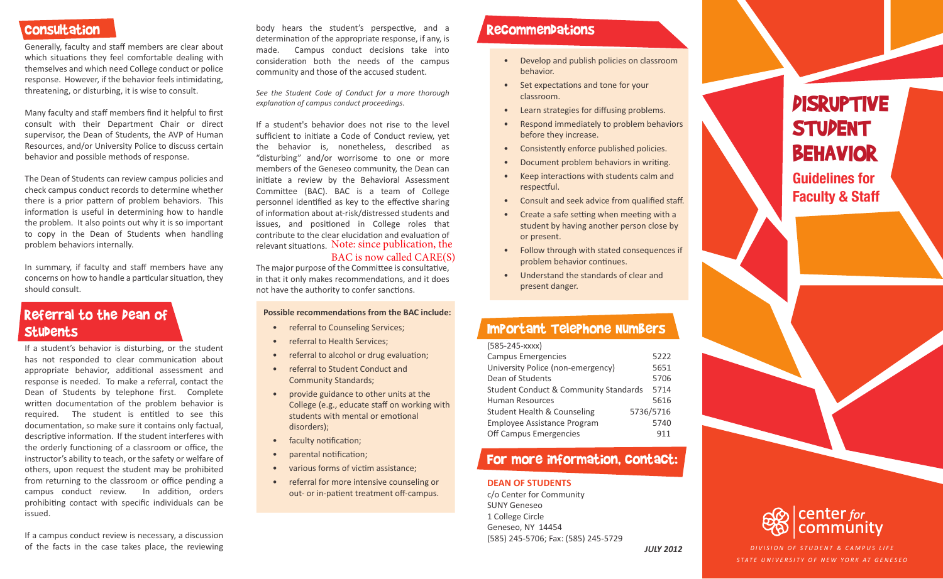## Consultation

Generally, faculty and staff members are clear about which situations they feel comfortable dealing with themselves and which need College conduct or police response. However, if the behavior feels intimidating, threatening, or disturbing, it is wise to consult.

Many faculty and staff members find it helpful to first consult with their Department Chair or direct supervisor, the Dean of Students, the AVP of Human Resources, and/or University Police to discuss certain behavior and possible methods of response.

The Dean of Students can review campus policies and check campus conduct records to determine whether there is a prior pattern of problem behaviors. This information is useful in determining how to handle the problem. It also points out why it is so important to copy in the Dean of Students when handling problem behaviors internally.

In summary, if faculty and staff members have any concerns on how to handle a particular situation, they should consult.

# Referral to the Dean of **Stubents**

If a student's behavior is disturbing, or the student has not responded to clear communication about appropriate behavior, additional assessment and response is needed. To make a referral, contact the Dean of Students by telephone first. Complete written documentation of the problem behavior is required. The student is entitled to see this documentation, so make sure it contains only factual, descriptive information. If the student interferes with the orderly functioning of a classroom or office, the instructor's ability to teach, or the safety or welfare of others, upon request the student may be prohibited from returning to the classroom or office pending a campus conduct review. In addition, orders prohibiting contact with specific individuals can be issued.

If a campus conduct review is necessary, a discussion of the facts in the case takes place, the reviewing body hears the student's perspective, and a determination of the appropriate response, if any, is made. Campus conduct decisions take into consideration both the needs of the campus community and those of the accused student.

*See the Student Code of Conduct for a more thorough explanation of campus conduct proceedings.*

If a student's behavior does not rise to the level sufficient to initiate a Code of Conduct review, yet the behavior is, nonetheless, described as "disturbing" and/or worrisome to one or more members of the Geneseo community, the Dean can initiate a review by the Behavioral Assessment Committee (BAC). BAC is a team of College personnel identified as key to the effective sharing of information about at-risk/distressed students and issues, and positioned in College roles that contribute to the clear elucidation and evaluation of relevant situations. Note: since publication, the

### BAC is now called CARE(S)

The major purpose of the Committee is consultative, in that it only makes recommendations, and it does not have the authority to confer sanctions.

### **Possible recommendations from the BAC include:**

- referral to Counseling Services;
- referral to Health Services;
- referral to alcohol or drug evaluation;
- referral to Student Conduct and Community Standards;
- provide guidance to other units at the College (e.g., educate staff on working with students with mental or emotional disorders);
- faculty notification;
- parental notification;
- various forms of victim assistance;
- referral for more intensive counseling or out- or in-patient treatment off-campus.

## Recommendations

- Develop and publish policies on classroom behavior.
- Set expectations and tone for your classroom.
- Learn strategies for diffusing problems.
- Respond immediately to problem behaviors before they increase.
- Consistently enforce published policies.
- Document problem behaviors in writing.
- Keep interactions with students calm and respectful.
- Consult and seek advice from qualified staff.
- Create a safe setting when meeting with a student by having another person close by or present.
- Follow through with stated consequences if problem behavior continues.
- Understand the standards of clear and present danger.

# Important Telephone Numbers

| (585-245-xxxx) |  |
|----------------|--|
|----------------|--|

| <b>Campus Emergencies</b>                        | 5222      |
|--------------------------------------------------|-----------|
| University Police (non-emergency)                | 5651      |
| Dean of Students                                 | 5706      |
| <b>Student Conduct &amp; Community Standards</b> | 5714      |
| Human Resources                                  | 5616      |
| <b>Student Health &amp; Counseling</b>           | 5736/5716 |
| <b>Employee Assistance Program</b>               | 5740      |
| Off Campus Emergencies                           | 911       |

# For more information, contact:

### **DEAN OF STUDENTS**

c/o Center for Community SUNY Geneseo 1 College Circle Geneseo, NY 14454 (585) 245-5706; Fax: (585) 245-5729

# **PISRUPTIVE STUDENT BEHAVIOR**

**Guidelines for Faculty & Staff**



*JULY 2012 DIVISION OF STUDENT & CAMPUS LIFE STATE UNIVERSITY OF NEW YORK AT GENESEO*